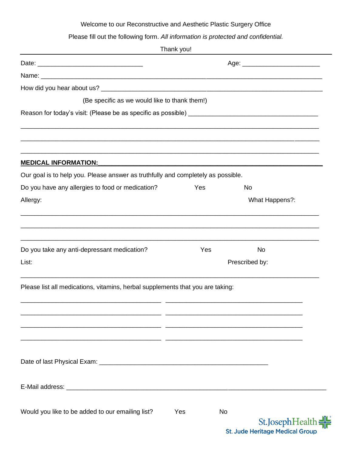## Welcome to our Reconstructive and Aesthetic Plastic Surgery Office

Please fill out the following form. *All information is protected and confidential.*

|                                                                                                 | Thank you!                       |                                                                        |
|-------------------------------------------------------------------------------------------------|----------------------------------|------------------------------------------------------------------------|
|                                                                                                 | Age: ___________________________ |                                                                        |
|                                                                                                 |                                  |                                                                        |
|                                                                                                 |                                  |                                                                        |
| (Be specific as we would like to thank them!)                                                   |                                  |                                                                        |
|                                                                                                 |                                  |                                                                        |
|                                                                                                 |                                  |                                                                        |
|                                                                                                 |                                  |                                                                        |
| <b>MEDICAL INFORMATION:</b><br><u> 1989 - Johann John Stone, Amerikaansk politiker († 1908)</u> |                                  |                                                                        |
| Our goal is to help you. Please answer as truthfully and completely as possible.                |                                  |                                                                        |
| Do you have any allergies to food or medication?                                                | Yes                              | <b>No</b>                                                              |
| Allergy:                                                                                        |                                  | What Happens?:                                                         |
|                                                                                                 |                                  |                                                                        |
| Do you take any anti-depressant medication?                                                     | Yes                              | <b>No</b>                                                              |
| List:                                                                                           |                                  | Prescribed by:                                                         |
| Please list all medications, vitamins, herbal supplements that you are taking:                  |                                  |                                                                        |
| ___                                                                                             |                                  |                                                                        |
|                                                                                                 |                                  |                                                                        |
|                                                                                                 |                                  |                                                                        |
|                                                                                                 |                                  |                                                                        |
|                                                                                                 |                                  |                                                                        |
| Would you like to be added to our emailing list?                                                | Yes                              | <b>No</b><br>St.JosephHealth<br><b>St. Jude Heritage Medical Group</b> |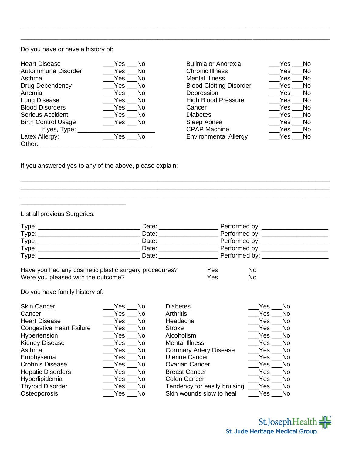Do you have or have a history of:

| Yes<br>No           | <b>Bulimia or Anorexia</b>     | Yes  | No        |
|---------------------|--------------------------------|------|-----------|
| Yes<br>No.          | <b>Chronic Illness</b>         | Yes  | <b>No</b> |
| Yes<br>No.          | <b>Mental Illness</b>          | Yes  | <b>No</b> |
| Yes<br>No.          | <b>Blood Clotting Disorder</b> | Yes  | <b>No</b> |
| Yes<br>No.          | Depression                     | Yes  | <b>No</b> |
| Yes<br>No.          | <b>High Blood Pressure</b>     | Yes  | <b>No</b> |
| No.<br>Yes          | Cancer                         | Yes  | No.       |
| Yes<br>No.          | <b>Diabetes</b>                | Yes  | <b>No</b> |
| $Yes$ $\_\_$<br>No. | Sleep Apnea                    | Yes  | No.       |
|                     | <b>CPAP Machine</b>            | Yes  | No        |
| Yes<br>No.          | <b>Environmental Allergy</b>   | Yes: | No        |
|                     |                                |      |           |

| isease          | Yes<br><b>No</b>           | <b>Bulimia or Anorexia</b>     | Yes<br><b>No</b>  |
|-----------------|----------------------------|--------------------------------|-------------------|
| mune Disorder   | Yes $\_$<br>No.            | <b>Chronic Illness</b>         | Yes<br><b>No</b>  |
|                 | Yes<br>No.                 | <b>Mental Illness</b>          | Yes<br><b>No</b>  |
| ependency       | No.<br>Yes $\_$            | <b>Blood Clotting Disorder</b> | <b>No</b><br>Yes: |
|                 | Yes $\_$<br>N <sub>o</sub> | Depression                     | No.<br>Yes:       |
| isease          | Yes $\_$<br>No.            | <b>High Blood Pressure</b>     | Yes<br><b>No</b>  |
| )isorders       | Yes $\_$<br>No.            | Cancer                         | <b>No</b><br>Yes  |
| <b>Accident</b> | Yes<br>No.                 | <b>Diabetes</b>                | Yes<br><b>No</b>  |
| ontrol Usage    | Yes ___No                  | Sleep Apnea                    | <b>No</b><br>Yes  |
| If yes, Type:   |                            | <b>CPAP Machine</b>            | Yes<br><b>No</b>  |
| llergy:         | Yes<br>No                  | <b>Environmental Allergy</b>   | Yes<br><b>No</b>  |

If you answered yes to any of the above, please explain:

\_\_\_\_\_\_\_\_\_\_\_\_\_\_\_\_\_\_\_\_\_\_\_\_\_\_\_\_\_\_\_\_\_\_\_\_\_\_\_\_\_\_\_\_\_\_\_\_\_\_\_\_\_\_\_\_\_\_\_\_\_\_\_\_\_\_\_\_\_\_\_\_\_\_\_\_\_\_\_\_\_\_\_\_\_\_\_\_

List all previous Surgeries:

\_\_\_\_\_\_\_\_\_\_\_\_\_\_\_\_\_\_\_\_\_\_\_\_\_\_\_\_\_\_

| Type: | Date: | Performed by: _________  |
|-------|-------|--------------------------|
| Type: | Date: | Performed by: __________ |
| Type: | Date: | Performed by: __________ |
| Type: | Date: | Performed by: ________   |
| Type: | Date: | Performed by: __________ |
|       |       |                          |

\_\_\_\_\_\_\_\_\_\_\_\_\_\_\_\_\_\_\_\_\_\_\_\_\_\_\_\_\_\_\_\_\_\_\_\_\_\_\_\_\_\_\_\_\_\_\_\_\_\_\_\_\_\_\_\_\_\_\_\_\_\_\_\_\_\_\_\_\_\_\_\_\_\_\_\_\_\_\_\_\_\_\_\_\_\_\_\_ \_\_\_\_\_\_\_\_\_\_\_\_\_\_\_\_\_\_\_\_\_\_\_\_\_\_\_\_\_\_\_\_\_\_\_\_\_\_\_\_\_\_\_\_\_\_\_\_\_\_\_\_\_\_\_\_\_\_\_\_\_\_\_\_\_\_\_\_\_\_\_\_\_\_\_\_\_\_\_\_\_\_\_\_\_\_\_\_

**\_\_\_\_\_\_\_\_\_\_\_\_\_\_\_\_\_\_\_\_\_\_\_\_\_\_\_\_\_\_\_\_\_\_\_\_\_\_\_\_\_\_\_\_\_\_\_\_\_\_\_\_\_\_\_\_\_\_\_\_\_\_\_\_\_\_\_\_\_\_\_\_\_\_\_\_\_\_\_\_\_\_\_\_\_\_\_\_**

**\_\_\_\_\_\_\_\_\_\_\_\_\_\_\_\_\_\_\_\_\_\_\_\_\_\_\_\_\_\_\_\_\_\_\_\_\_\_\_\_\_\_\_\_\_\_\_\_\_\_\_\_\_\_\_\_\_\_\_\_\_\_\_\_\_\_\_\_\_\_\_\_\_\_\_\_\_\_\_\_\_\_\_\_\_\_\_\_**

| Have you had any cosmetic plastic surgery procedures? | Yes | No. |
|-------------------------------------------------------|-----|-----|
| Were you pleased with the outcome?                    | Yes | No. |

Do you have family history of:

| Yes<br><b>No</b>      | <b>Diabetes</b>                | Yes<br>No. |
|-----------------------|--------------------------------|------------|
| Yes<br>No.            | <b>Arthritis</b>               | Yes<br>No. |
| Yes<br>No.            | Headache                       | Yes<br>No. |
| Yes<br>No.            | <b>Stroke</b>                  | Yes<br>No. |
| Yes<br>No.            | Alcoholism                     | Yes<br>No. |
| Yes<br>N <sub>o</sub> | <b>Mental Illness</b>          | Yes<br>No. |
| Yes<br>N <sub>o</sub> | <b>Coronary Artery Disease</b> | Yes<br>No. |
| Yes<br>No.            | <b>Uterine Cancer</b>          | Yes<br>No. |
| Yes<br>N <sub>o</sub> | <b>Ovarian Cancer</b>          | Yes<br>No. |
| Yes<br>N <sub>o</sub> | <b>Breast Cancer</b>           | Yes<br>No. |
| Yes<br>N <sub>o</sub> | <b>Colon Cancer</b>            | Yes<br>No. |
| Yes<br><b>No</b>      | Tendency for easily bruising   | Yes<br>No. |
| Yes<br>No.            | Skin wounds slow to heal       | Yes<br>No. |
|                       |                                |            |